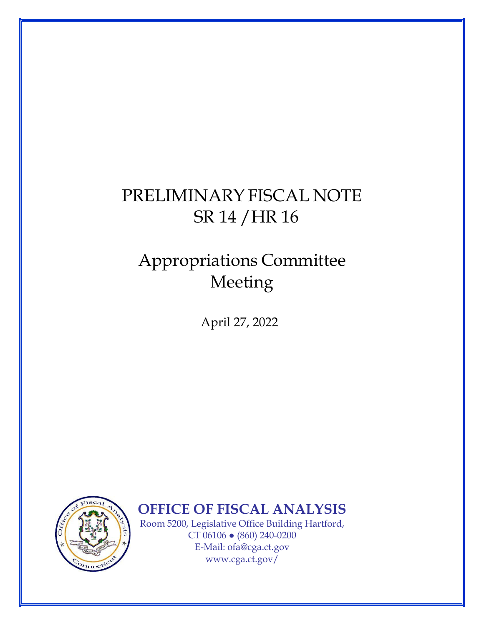## PRELIMINARY FISCAL NOTE SR 14 /HR 16

## Appropriations Committee Meeting

April 27, 2022



**OFFICE OF FISCAL ANALYSIS** 

Room 5200, Legislative Office Building Hartford, CT 06106 ● (860) 240-0200 E-Mail: [ofa@cga.ct.gov](mailto:ofa@cga.ct.gov) [www.cga.ct.gov/](http://www.cga.ct.gov/)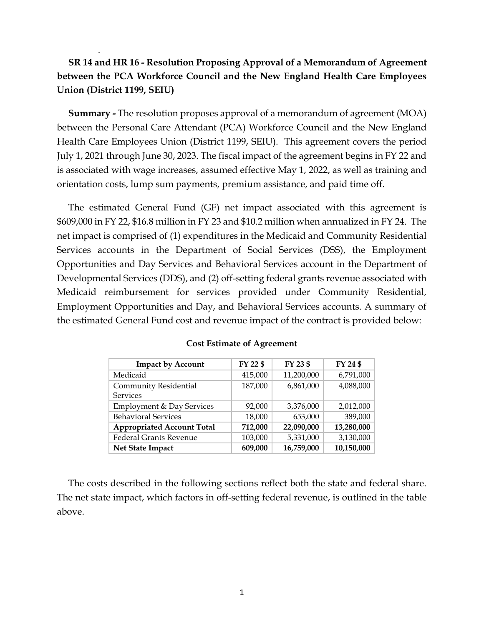## **SR 14 and HR 16 - Resolution Proposing Approval of a Memorandum of Agreement between the PCA Workforce Council and the New England Health Care Employees Union (District 1199, SEIU)**

**Summary -** The resolution proposes approval of a memorandum of agreement (MOA) between the Personal Care Attendant (PCA) Workforce Council and the New England Health Care Employees Union (District 1199, SEIU). This agreement covers the period July 1, 2021 through June 30, 2023. The fiscal impact of the agreement begins in FY 22 and is associated with wage increases, assumed effective May 1, 2022, as well as training and orientation costs, lump sum payments, premium assistance, and paid time off.

The estimated General Fund (GF) net impact associated with this agreement is \$609,000 in FY 22, \$16.8 million in FY 23 and \$10.2 million when annualized in FY 24. The net impact is comprised of (1) expenditures in the Medicaid and Community Residential Services accounts in the Department of Social Services (DSS), the Employment Opportunities and Day Services and Behavioral Services account in the Department of Developmental Services (DDS), and (2) off-setting federal grants revenue associated with Medicaid reimbursement for services provided under Community Residential, Employment Opportunities and Day, and Behavioral Services accounts. A summary of the estimated General Fund cost and revenue impact of the contract is provided below:

| <b>Impact by Account</b>             | FY 22 \$ | FY 23 \$   | FY 24 \$   |
|--------------------------------------|----------|------------|------------|
| Medicaid                             | 415,000  | 11,200,000 | 6,791,000  |
| Community Residential                | 187,000  | 6,861,000  | 4,088,000  |
| <b>Services</b>                      |          |            |            |
| <b>Employment &amp; Day Services</b> | 92,000   | 3,376,000  | 2,012,000  |
| <b>Behavioral Services</b>           | 18,000   | 653,000    | 389,000    |
| <b>Appropriated Account Total</b>    | 712,000  | 22,090,000 | 13,280,000 |
| <b>Federal Grants Revenue</b>        | 103,000  | 5,331,000  | 3,130,000  |
| Net State Impact                     | 609,000  | 16,759,000 | 10,150,000 |

## **Cost Estimate of Agreement**

The costs described in the following sections reflect both the state and federal share. The net state impact, which factors in off-setting federal revenue, is outlined in the table above.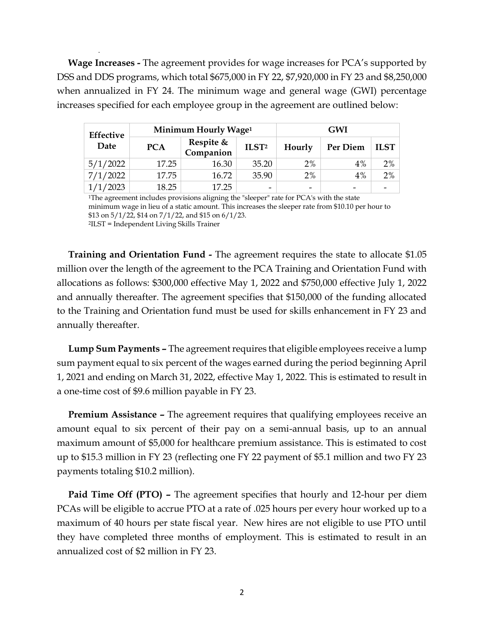**Wage Increases -** The agreement provides for wage increases for PCA's supported by DSS and DDS programs, which total \$675,000 in FY 22, \$7,920,000 in FY 23 and \$8,250,000 when annualized in FY 24. The minimum wage and general wage (GWI) percentage increases specified for each employee group in the agreement are outlined below:

| <b>Effective</b><br>Date | Minimum Hourly Wage <sup>1</sup> |                        |                   | <b>GWI</b> |          |             |
|--------------------------|----------------------------------|------------------------|-------------------|------------|----------|-------------|
|                          | <b>PCA</b>                       | Respite &<br>Companion | ILST <sup>2</sup> | Hourly     | Per Diem | <b>ILST</b> |
| 5/1/2022                 | 17.25                            | 16.30                  | 35.20             | 2%         | $4\%$    | 2%          |
| 7/1/2022                 | 17.75                            | 16.72                  | 35.90             | 2%         | 4%       | 2%          |
| 1/2023                   | 18.25                            | 17.25                  | -                 | -          |          |             |

<sup>1</sup>The agreement includes provisions aligning the "sleeper" rate for PCA's with the state minimum wage in lieu of a static amount. This increases the sleeper rate from \$10.10 per hour to \$13 on 5/1/22, \$14 on 7/1/22, and \$15 on 6/1/23.

<sup>2</sup>ILST = Independent Living Skills Trainer

**Training and Orientation Fund -** The agreement requires the state to allocate \$1.05 million over the length of the agreement to the PCA Training and Orientation Fund with allocations as follows: \$300,000 effective May 1, 2022 and \$750,000 effective July 1, 2022 and annually thereafter. The agreement specifies that \$150,000 of the funding allocated to the Training and Orientation fund must be used for skills enhancement in FY 23 and annually thereafter.

**Lump Sum Payments –** The agreement requires that eligible employees receive a lump sum payment equal to six percent of the wages earned during the period beginning April 1, 2021 and ending on March 31, 2022, effective May 1, 2022. This is estimated to result in a one-time cost of \$9.6 million payable in FY 23.

**Premium Assistance –** The agreement requires that qualifying employees receive an amount equal to six percent of their pay on a semi-annual basis, up to an annual maximum amount of \$5,000 for healthcare premium assistance. This is estimated to cost up to \$15.3 million in FY 23 (reflecting one FY 22 payment of \$5.1 million and two FY 23 payments totaling \$10.2 million).

**Paid Time Off (PTO) –** The agreement specifies that hourly and 12-hour per diem PCAs will be eligible to accrue PTO at a rate of .025 hours per every hour worked up to a maximum of 40 hours per state fiscal year. New hires are not eligible to use PTO until they have completed three months of employment. This is estimated to result in an annualized cost of \$2 million in FY 23.